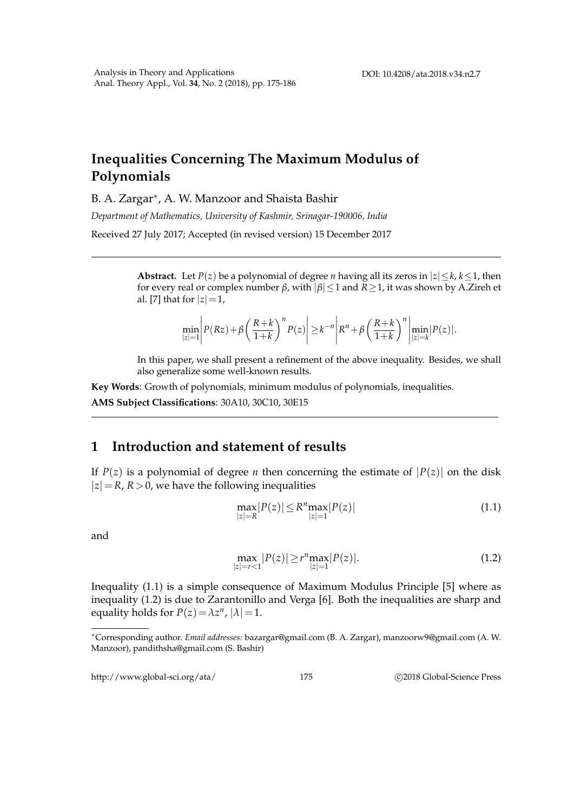# **Inequalities Concerning The Maximum Modulus of Polynomials**

B. A. Zargar<sup>\*</sup>, A. W. Manzoor and Shaista Bashir

*Department of Mathematics, University of Kashmir, Srinagar-190006, India*

Received 27 July 2017; Accepted (in revised version) 15 December 2017

**Abstract.** Let *P*(*z*) be a polynomial of degree *n* having all its zeros in  $|z| \le k$ ,  $k \le 1$ , then for every real or complex number *β*, with |*β*|≤1 and *R*≥1, it was shown by A.Zireh et al. [7] that for  $|z|=1$ ,

$$
\min_{|z|=1} \left| P(Rz) + \beta \left( \frac{R+k}{1+k} \right)^n P(z) \right| \geq k^{-n} \left| R^n + \beta \left( \frac{R+k}{1+k} \right)^n \right| \min_{|z|=k} |P(z)|.
$$

In this paper, we shall present a refinement of the above inequality. Besides, we shall also generalize some well-known results.

**Key Words**: Growth of polynomials, minimum modulus of polynomials, inequalities.

**AMS Subject Classifications**: 30A10, 30C10, 30E15

### **1 Introduction and statement of results**

If  $P(z)$  is a polynomial of degree *n* then concerning the estimate of  $|P(z)|$  on the disk  $|z|=R$ ,  $R>0$ , we have the following inequalities

$$
\max_{|z|=R} |P(z)| \le R^n \max_{|z|=1} |P(z)| \tag{1.1}
$$

and

$$
\max_{|z|=r<1} |P(z)| \ge r^n \max_{|z|=1} |P(z)|.
$$
\n(1.2)

Inequality (1.1) is a simple consequence of Maximum Modulus Principle [5] where as inequality (1.2) is due to Zarantonillo and Verga [6]. Both the inequalities are sharp and equality holds for  $P(z) = \lambda z^n$ ,  $|\lambda| = 1$ .

http://www.global-sci.org/ata/ 175 c 2018 Global-Science Press

<sup>∗</sup>Corresponding author. *Email addresses:* bazargar@gmail.com (B. A. Zargar), manzoorw9@gmail.com (A. W. Manzoor), pandithsha@gmail.com (S. Bashir)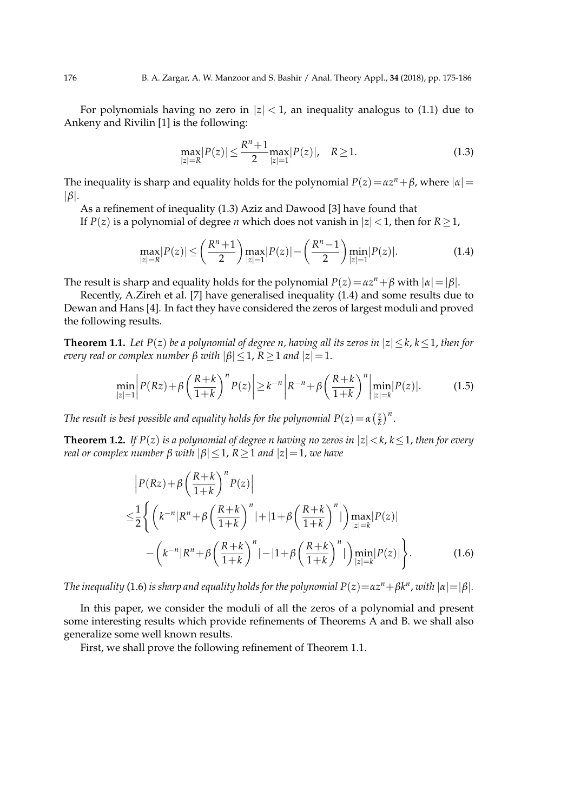For polynomials having no zero in  $|z|$  < 1, an inequality analogus to (1.1) due to Ankeny and Rivilin [1] is the following:

$$
\max_{|z|=R} |P(z)| \le \frac{R^n + 1}{2} \max_{|z|=1} |P(z)|, \quad R \ge 1.
$$
 (1.3)

The inequality is sharp and equality holds for the polynomial  $P(z) = \alpha z^n + \beta$ , where  $|\alpha| =$ |*β*|.

As a refinement of inequality (1.3) Aziz and Dawood [3] have found that

If *P*(*z*) is a polynomial of degree *n* which does not vanish in  $|z|$  < 1, then for *R* ≥ 1,

$$
\max_{|z|=R} |P(z)| \le \left(\frac{R^n+1}{2}\right) \max_{|z|=1} |P(z)| - \left(\frac{R^n-1}{2}\right) \min_{|z|=1} |P(z)|.
$$
 (1.4)

The result is sharp and equality holds for the polynomial  $P(z) = \alpha z^n + \beta$  with  $|\alpha| = |\beta|$ .

Recently, A.Zireh et al. [7] have generalised inequality (1.4) and some results due to Dewan and Hans [4]. In fact they have considered the zeros of largest moduli and proved the following results.

**Theorem 1.1.** *Let*  $P(z)$  *be a polynomial of degree n, having all its zeros in*  $|z| \le k$ ,  $k \le 1$ , *then for every real or complex number*  $\beta$  *with*  $|\beta| \leq 1$ ,  $R \geq 1$  *and*  $|z| = 1$ .

$$
\min_{|z|=1} \left| P(Rz) + \beta \left( \frac{R+k}{1+k} \right)^n P(z) \right| \ge k^{-n} \left| R^{-n} + \beta \left( \frac{R+k}{1+k} \right)^n \right| \min_{|z|=k} |P(z)|. \tag{1.5}
$$

*The result is best possible and equality holds for the polynomial*  $P(z) = \alpha \left(\frac{z}{k}\right)$  $(\frac{z}{k})^n$ .

**Theorem 1.2.** *If*  $P(z)$  *is a polynomial of degree n having no zeros in*  $|z| < k$ ,  $k \le 1$ , *then for every real or complex number*  $\beta$  *with*  $|\beta|$  < 1,  $R$  > 1 *and*  $|z|$  = 1, *we have* 

$$
\left| P(Rz) + \beta \left( \frac{R+k}{1+k} \right)^n P(z) \right|
$$
  
\n
$$
\leq \frac{1}{2} \left\{ \left( k^{-n} |R^n + \beta \left( \frac{R+k}{1+k} \right)^n | + |1 + \beta \left( \frac{R+k}{1+k} \right)^n | \right) \max_{|z|=k} |P(z)|
$$
  
\n
$$
- \left( k^{-n} |R^n + \beta \left( \frac{R+k}{1+k} \right)^n | - |1 + \beta \left( \frac{R+k}{1+k} \right)^n | \right) \min_{|z|=k} |P(z)| \right\}.
$$
\n(1.6)

*The inequality (*1.6) *is sharp and equality holds for the polynomial*  $P(z) {=} \alpha z^n {+} \beta k^n$  *, with*  $|\alpha| {=} |\beta|$ *.* 

In this paper, we consider the moduli of all the zeros of a polynomial and present some interesting results which provide refinements of Theorems A and B. we shall also generalize some well known results.

First, we shall prove the following refinement of Theorem 1.1.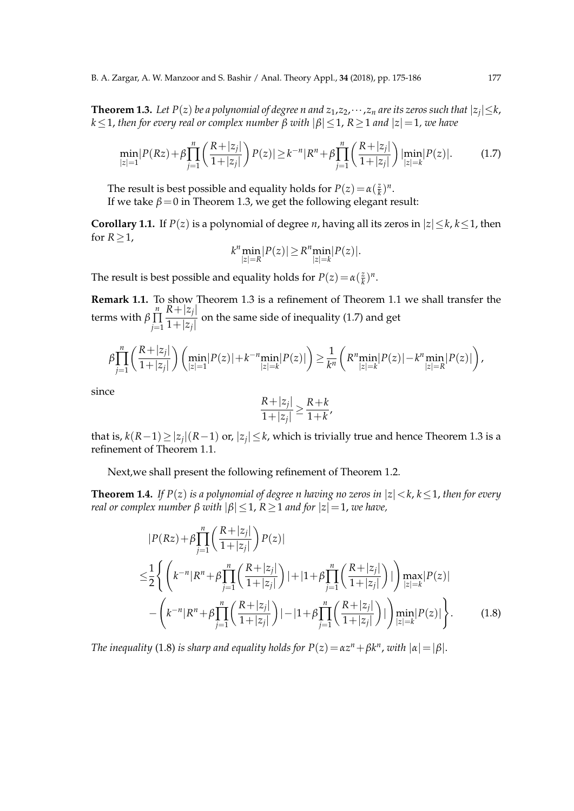**Theorem 1.3.** Let P(z) be a polynomial of degree n and  $z_1,z_2,\cdots,z_n$  are its zeros such that  $|z_j|\!\leq\! k$ ,  $k \leq 1$ , *then for every real or complex number*  $\beta$  *with*  $|\beta| \leq 1$ ,  $R \geq 1$  *and*  $|z| = 1$ , *we have* 

$$
\min_{|z|=1} |P(Rz) + \beta \prod_{j=1}^{n} \left( \frac{R+|z_j|}{1+|z_j|} \right) P(z)| \ge k^{-n} |R^n + \beta \prod_{j=1}^{n} \left( \frac{R+|z_j|}{1+|z_j|} \right) \lim_{|z|=k} |P(z)|. \tag{1.7}
$$

The result is best possible and equality holds for  $P(z) = \alpha(\frac{z}{k})$  $(\frac{z}{k})^n$ . If we take  $\beta = 0$  in Theorem 1.3, we get the following elegant result:

**Corollary 1.1.** If  $P(z)$  is a polynomial of degree *n*, having all its zeros in  $|z| \le k$ ,  $k \le 1$ , then for  $R \geq 1$ ,

$$
k^n \min_{|z|=R} |P(z)| \geq R^n \min_{|z|=k} |P(z)|.
$$

The result is best possible and equality holds for  $P(z) = \alpha(\frac{z}{k})$  $(\frac{z}{k})^n$ .

**Remark 1.1.** To show Theorem 1.3 is a refinement of Theorem 1.1 we shall transfer the terms with  $\beta \prod_{i=1}^{n}$ ∏ *j*=1  $R+|z_j|$  $\frac{1}{1+|z_j|}$  on the same side of inequality (1.7) and get

$$
\beta \prod_{j=1}^n \left( \frac{R+|z_j|}{1+|z_j|} \right) \left( \min_{|z|=1} |P(z)| + k^{-n} \min_{|z|=k} |P(z)| \right) \geq \frac{1}{k^n} \left( R^n \min_{|z|=k} |P(z)| - k^n \min_{|z|=R} |P(z)| \right),
$$

since

$$
\frac{R+|z_j|}{1+|z_j|} \ge \frac{R+k}{1+k},
$$

that is, *k*(*R*−1)≥|*z<sup>j</sup>* |(*R*−1) or, |*z<sup>j</sup>* | ≤*k*, which is trivially true and hence Theorem 1.3 is a refinement of Theorem 1.1.

Next,we shall present the following refinement of Theorem 1.2.

**Theorem 1.4.** If  $P(z)$  is a polynomial of degree n having no zeros in  $|z| < k$ ,  $k < 1$ , then for every *real or complex number*  $\beta$  *with*  $|\beta| \leq 1$ ,  $R \geq 1$  *and for*  $|z| = 1$ , *we have*,

$$
|P(Rz) + \beta \prod_{j=1}^{n} \left( \frac{R+|z_j|}{1+|z_j|} \right) P(z)|
$$
  
\n
$$
\leq \frac{1}{2} \left\{ \left( k^{-n} |R^n + \beta \prod_{j=1}^{n} \left( \frac{R+|z_j|}{1+|z_j|} \right) | + |1 + \beta \prod_{j=1}^{n} \left( \frac{R+|z_j|}{1+|z_j|} \right) | \right) \max_{|z|=k} |P(z)|
$$
  
\n
$$
- \left( k^{-n} |R^n + \beta \prod_{j=1}^{n} \left( \frac{R+|z_j|}{1+|z_j|} \right) | - |1 + \beta \prod_{j=1}^{n} \left( \frac{R+|z_j|}{1+|z_j|} \right) | \right) \min_{|z|=k} |P(z)| \right\}.
$$
 (1.8)

*The inequality* (1.8) *is sharp and equality holds for*  $P(z) = \alpha z^n + \beta k^n$ , *with*  $|\alpha| = |\beta|$ .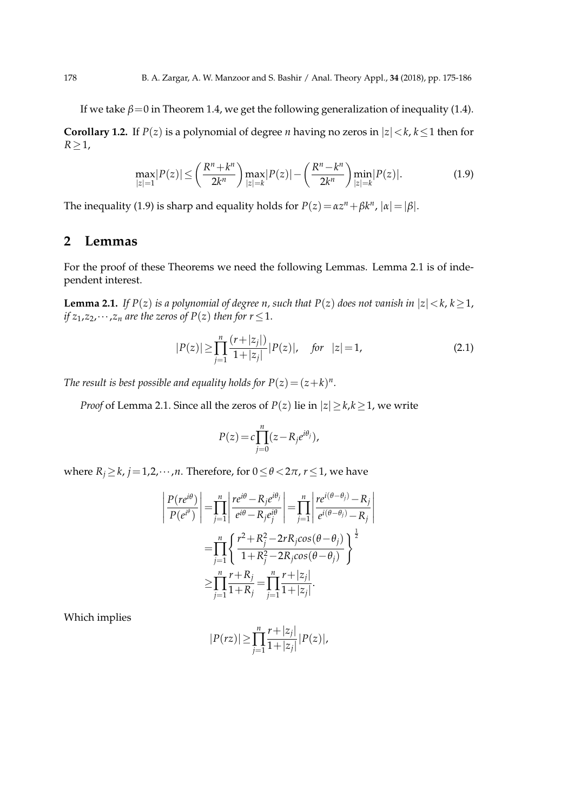If we take  $\beta = 0$  in Theorem 1.4, we get the following generalization of inequality (1.4).

**Corollary 1.2.** If  $P(z)$  is a polynomial of degree *n* having no zeros in  $|z| < k$ ,  $k \le 1$  then for  $R \geq 1$ ,

$$
\max_{|z|=1} |P(z)| \le \left(\frac{R^n + k^n}{2k^n}\right) \max_{|z|=k} |P(z)| - \left(\frac{R^n - k^n}{2k^n}\right) \min_{|z|=k} |P(z)|.
$$
 (1.9)

The inequality (1.9) is sharp and equality holds for  $P(z) = \alpha z^n + \beta k^n$ ,  $|\alpha| = |\beta|$ .

### **2 Lemmas**

For the proof of these Theorems we need the following Lemmas. Lemma 2.1 is of independent interest.

**Lemma 2.1.** *If*  $P(z)$  *is a polynomial of degree n, such that*  $P(z)$  *does not vanish in*  $|z| < k$ ,  $k \ge 1$ , *if*  $z_1$ , $z_2$ , $\dots$ , $z_n$  *are the zeros of*  $P(z)$  *then for*  $r \leq 1$ .

$$
|P(z)| \ge \prod_{j=1}^{n} \frac{(r+|z_j|)}{1+|z_j|} |P(z)|, \quad \text{for} \quad |z|=1,
$$
 (2.1)

*The result is best possible and equality holds for*  $P(z) = (z + k)^n$ .

*Proof* of Lemma 2.1. Since all the zeros of *P*(*z*) lie in  $|z| \ge k, k \ge 1$ , we write

$$
P(z) = c \prod_{j=0}^{n} (z - R_j e^{i\theta_j}),
$$

where  $R_i \ge k$ ,  $j = 1, 2, \dots, n$ . Therefore, for  $0 \le \theta < 2\pi$ ,  $r \le 1$ , we have

$$
\left| \frac{P(re^{i\theta})}{P(e^{i\theta})} \right| = \prod_{j=1}^{n} \left| \frac{re^{i\theta} - R_j e^{i\theta_j}}{e^{i\theta} - R_j e^{i\theta_j}} \right| = \prod_{j=1}^{n} \left| \frac{re^{i(\theta - \theta_j)} - R_j}{e^{i(\theta - \theta_j)} - R_j} \right|
$$

$$
= \prod_{j=1}^{n} \left\{ \frac{r^2 + R_j^2 - 2rR_j \cos(\theta - \theta_j)}{1 + R_j^2 - 2R_j \cos(\theta - \theta_j)} \right\}^{\frac{1}{2}}
$$

$$
\geq \prod_{j=1}^{n} \frac{r + R_j}{1 + R_j} = \prod_{j=1}^{n} \frac{r + |z_j|}{1 + |z_j|}.
$$

Which implies

$$
|P(rz)| \geq \prod_{j=1}^{n} \frac{r+|z_j|}{1+|z_j|} |P(z)|,
$$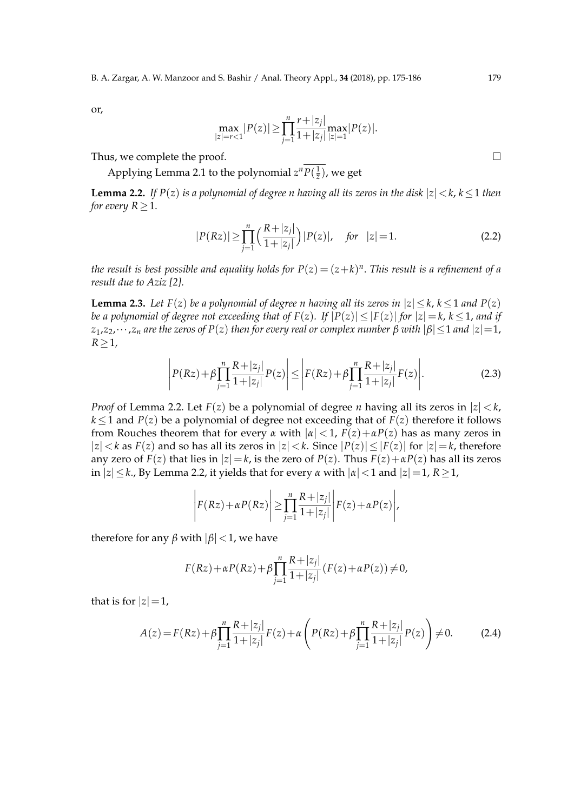or,

$$
\max_{|z|=r<1}|P(z)| \geq \prod_{j=1}^{n} \frac{r+|z_j|}{1+|z_j|} \max_{|z|=1}|P(z)|.
$$

Thus, we complete the proof.  $\Box$ 

Applying Lemma 2.1 to the polynomial  $z^n P(\frac{1}{\overline{z}})$ , we get

**Lemma 2.2.** *If*  $P(z)$  *is a polynomial of degree n having all its zeros in the disk*  $|z| < k$ ,  $k \le 1$  *then for every*  $R > 1$ .

$$
|P(Rz)| \ge \prod_{j=1}^{n} \left(\frac{R+|z_j|}{1+|z_j|}\right) |P(z)|, \quad \text{for} \quad |z|=1. \tag{2.2}
$$

*the result is best possible and equality holds for*  $P(z) = (z + k)^n$ *. This result is a refinement of a result due to Aziz [2].*

**Lemma 2.3.** *Let*  $F(z)$  *be a polynomial of degree n having all its zeros in*  $|z| \le k$ ,  $k \le 1$  *and*  $P(z)$ *be a polynomial of degree not exceeding that of*  $F(z)$ *. If*  $|P(z)| \leq |F(z)|$  *for*  $|z| = k$ ,  $k \leq 1$ , *and if*  $z_1, z_2, \dots, z_n$  are the zeros of  $P(z)$  then for every real or complex number  $\beta$  with  $|\beta| \leq 1$  and  $|z|=1$ , *R*≥1*,*

$$
\left| P(Rz) + \beta \prod_{j=1}^{n} \frac{R + |z_j|}{1 + |z_j|} P(z) \right| \le \left| F(Rz) + \beta \prod_{j=1}^{n} \frac{R + |z_j|}{1 + |z_j|} F(z) \right|.
$$
 (2.3)

*Proof* of Lemma 2.2. Let  $F(z)$  be a polynomial of degree *n* having all its zeros in  $|z| < k$ ,  $k \leq 1$  and *P*(*z*) be a polynomial of degree not exceeding that of *F*(*z*) therefore it follows from Rouches theorem that for every  $\alpha$  with  $|\alpha| < 1$ ,  $F(z) + \alpha P(z)$  has as many zeros in  $|z| < k$  as  $F(z)$  and so has all its zeros in  $|z| < k$ . Since  $|P(z)| \le |F(z)|$  for  $|z| = k$ , therefore any zero of *F*(*z*) that lies in  $|z|=k$ , is the zero of *P*(*z*). Thus  $F(z)+\alpha P(z)$  has all its zeros  $|z| \le k$ , By Lemma 2.2, it yields that for every  $\alpha$  with  $|\alpha| \le 1$  and  $|z| = 1$ ,  $R > 1$ ,

$$
\left| F(Rz) + \alpha P(Rz) \right| \geq \prod_{j=1}^{n} \frac{R + |z_j|}{1 + |z_j|} \left| F(z) + \alpha P(z) \right|,
$$

therefore for any *β* with  $|\beta|$  < 1, we have

$$
F(Rz) + \alpha P(Rz) + \beta \prod_{j=1}^{n} \frac{R + |z_j|}{1 + |z_j|} (F(z) + \alpha P(z)) \neq 0,
$$

that is for  $|z|=1$ ,

$$
A(z) = F(Rz) + \beta \prod_{j=1}^{n} \frac{R + |z_j|}{1 + |z_j|} F(z) + \alpha \left( P(Rz) + \beta \prod_{j=1}^{n} \frac{R + |z_j|}{1 + |z_j|} P(z) \right) \neq 0.
$$
 (2.4)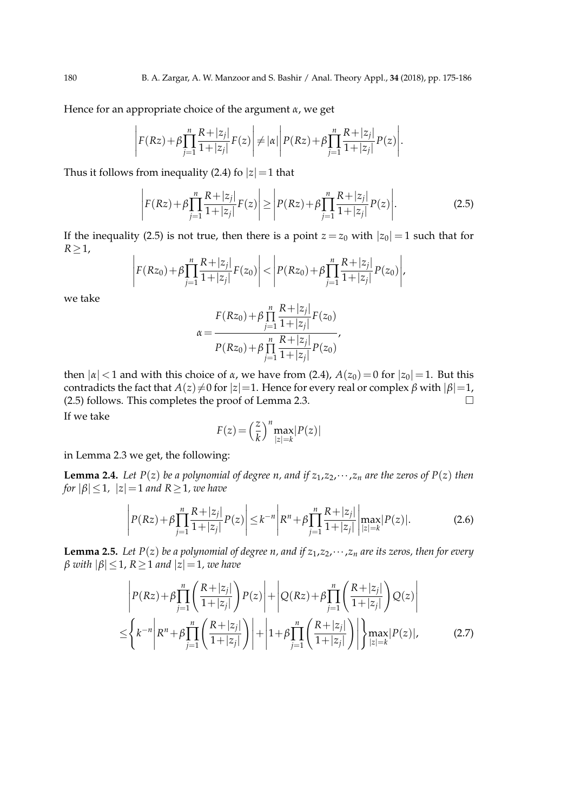Hence for an appropriate choice of the argument *α*, we get

$$
\left| F(Rz) + \beta \prod_{j=1}^{n} \frac{R + |z_j|}{1 + |z_j|} F(z) \right| \neq |\alpha| \left| P(Rz) + \beta \prod_{j=1}^{n} \frac{R + |z_j|}{1 + |z_j|} P(z) \right|.
$$

Thus it follows from inequality (2.4) fo  $|z|=1$  that

$$
\left| F(Rz) + \beta \prod_{j=1}^{n} \frac{R + |z_j|}{1 + |z_j|} F(z) \right| \ge \left| P(Rz) + \beta \prod_{j=1}^{n} \frac{R + |z_j|}{1 + |z_j|} P(z) \right|.
$$
 (2.5)

If the inequality (2.5) is not true, then there is a point  $z = z_0$  with  $|z_0| = 1$  such that for *R*≥1,  $\begin{array}{c} \begin{array}{c} \begin{array}{c} \end{array} \\ \begin{array}{c} \end{array} \end{array} \end{array}$ 

$$
F(Rz_0)+\beta \prod_{j=1}^n \frac{R+|z_j|}{1+|z_j|}F(z_0)\Bigg|<\Bigg|P(Rz_0)+\beta \prod_{j=1}^n \frac{R+|z_j|}{1+|z_j|}P(z_0)\Bigg|,
$$

we take

$$
\alpha = \frac{F(Rz_0) + \beta \prod_{j=1}^{n} \frac{R + |z_j|}{1 + |z_j|} F(z_0)}{P(Rz_0) + \beta \prod_{j=1}^{n} \frac{R + |z_j|}{1 + |z_j|} P(z_0)},
$$

then  $|α|$  < 1 and with this choice of *α*, we have from (2.4),  $A(z_0) = 0$  for  $|z_0| = 1$ . But this contradicts the fact that  $A(z) \neq 0$  for  $|z|=1$ . Hence for every real or complex  $\beta$  with  $|\beta|=1$ , (2.5) follows. This completes the proof of Lemma 2.3. If we take

$$
F(z) = \left(\frac{z}{k}\right)^n \max_{|z|=k} |P(z)|
$$

in Lemma 2.3 we get, the following:

 $\overline{\phantom{a}}$  $\mid$ 

**Lemma 2.4.** *Let*  $P(z)$  *be a polynomial of degree n, and if*  $z_1, z_2, \dots, z_n$  *are the zeros of*  $P(z)$  *then for*  $|\beta| \leq 1$ *,*  $|z| = 1$  *and*  $R \geq 1$ *, we have* 

$$
\left| P(Rz) + \beta \prod_{j=1}^{n} \frac{R + |z_j|}{1 + |z_j|} P(z) \right| \le k^{-n} \left| R^n + \beta \prod_{j=1}^{n} \frac{R + |z_j|}{1 + |z_j|} \right| \max_{|z| = k} |P(z)|.
$$
 (2.6)

**Lemma 2.5.** *Let P(z) be a polynomial of degree n, and if*  $z_1$ , $z_2$ , $\cdots$ , $z_n$  *are its zeros, then for every*  $\beta$  *with*  $|\beta| \leq 1$ ,  $R \geq 1$  *and*  $|z| = 1$ *, we have* 

$$
\left| P(Rz) + \beta \prod_{j=1}^{n} \left( \frac{R + |z_j|}{1 + |z_j|} \right) P(z) \right| + \left| Q(Rz) + \beta \prod_{j=1}^{n} \left( \frac{R + |z_j|}{1 + |z_j|} \right) Q(z) \right|
$$
  

$$
\leq \left\{ k^{-n} \left| R^n + \beta \prod_{j=1}^{n} \left( \frac{R + |z_j|}{1 + |z_j|} \right) \right| + \left| 1 + \beta \prod_{j=1}^{n} \left( \frac{R + |z_j|}{1 + |z_j|} \right) \right| \right\} \max_{|z| = k} |P(z)|, \tag{2.7}
$$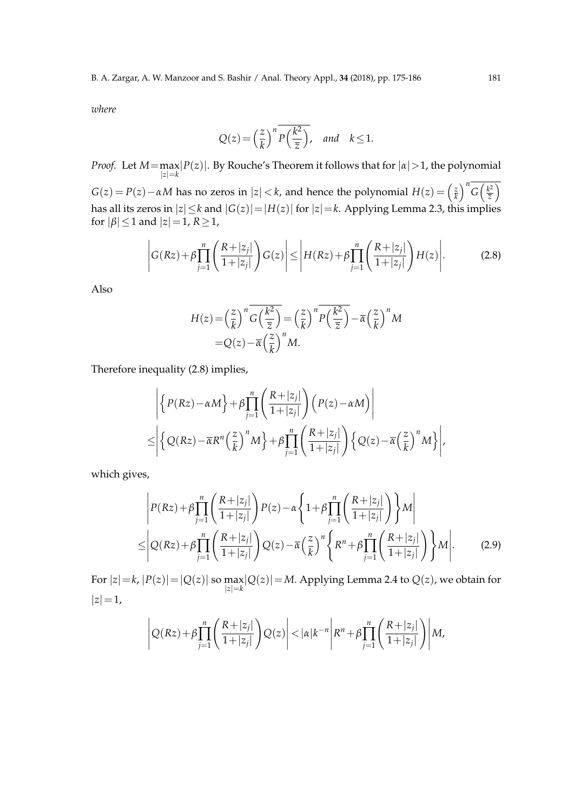*where*

$$
Q(z) = \left(\frac{z}{k}\right)^n \overline{P\left(\frac{k^2}{\overline{z}}\right)}, \quad \text{and} \quad k \le 1.
$$

*Proof.* Let  $M = \max_{|z|=k} |P(z)|$ . By Rouche's Theorem it follows that for  $| \alpha | > 1$ , the polynomial

 $G(z) = P(z) - \alpha M$  has no zeros in  $|z| < k$ , and hence the polynomial  $H(z) = \left(\frac{z}{k}\right)$  $\frac{z}{k}$ <sup>n</sup> *G*( $\frac{k^2}{\overline{z}}$  $\frac{k^2}{\overline{z}}\Big)$ has all its zeros in |*z*|≤*k* and |*G*(*z*)|=|*H*(*z*)| for |*z*|=*k*. Applying Lemma 2.3, this implies for  $|\beta| \leq 1$  and  $|z|=1$ ,  $R \geq 1$ ,

$$
\left| G(Rz) + \beta \prod_{j=1}^{n} \left( \frac{R+|z_j|}{1+|z_j|} \right) G(z) \right| \le \left| H(Rz) + \beta \prod_{j=1}^{n} \left( \frac{R+|z_j|}{1+|z_j|} \right) H(z) \right|.
$$
 (2.8)

Also

$$
H(z) = \left(\frac{z}{k}\right)^n \overline{G\left(\frac{k^2}{\overline{z}}\right)} = \left(\frac{z}{k}\right)^n \overline{P\left(\frac{k^2}{\overline{z}}\right)} - \overline{\alpha}\left(\frac{z}{k}\right)^n M
$$
  
=  $Q(z) - \overline{\alpha}\left(\frac{z}{k}\right)^n M$ .

Therefore inequality (2.8) implies,

$$
\left| \left\{ P(Rz) - \alpha M \right\} + \beta \prod_{j=1}^{n} \left( \frac{R + |z_j|}{1 + |z_j|} \right) \left( P(z) - \alpha M \right) \right|
$$
  

$$
\leq \left| \left\{ Q(Rz) - \overline{\alpha} R^n \left( \frac{z}{k} \right)^n M \right\} + \beta \prod_{j=1}^{n} \left( \frac{R + |z_j|}{1 + |z_j|} \right) \left\{ Q(z) - \overline{\alpha} \left( \frac{z}{k} \right)^n M \right\} \right|,
$$

which gives,

$$
\begin{split}\n& \left| P(Rz) + \beta \prod_{j=1}^{n} \left( \frac{R + |z_j|}{1 + |z_j|} \right) P(z) - \alpha \left\{ 1 + \beta \prod_{j=1}^{n} \left( \frac{R + |z_j|}{1 + |z_j|} \right) \right\} M \right| \\
& \leq \left| Q(Rz) + \beta \prod_{j=1}^{n} \left( \frac{R + |z_j|}{1 + |z_j|} \right) Q(z) - \overline{\alpha} \left( \frac{z}{k} \right)^n \left\{ R^n + \beta \prod_{j=1}^{n} \left( \frac{R + |z_j|}{1 + |z_j|} \right) \right\} M \right|.\n\end{split} \tag{2.9}
$$

For  $|z| = k$ ,  $|P(z)| = |Q(z)|$  so  $\max_{|z| = k} |Q(z)| = M$ . Applying Lemma 2.4 to  $Q(z)$ , we obtain for  $|z|=1$ ,

$$
\left|Q(Rz)+\beta\prod_{j=1}^n\left(\frac{R+|z_j|}{1+|z_j|}\right)Q(z)\right|<|\alpha|k^{-n}\left|R^n+\beta\prod_{j=1}^n\left(\frac{R+|z_j|}{1+|z_j|}\right)\right|M,
$$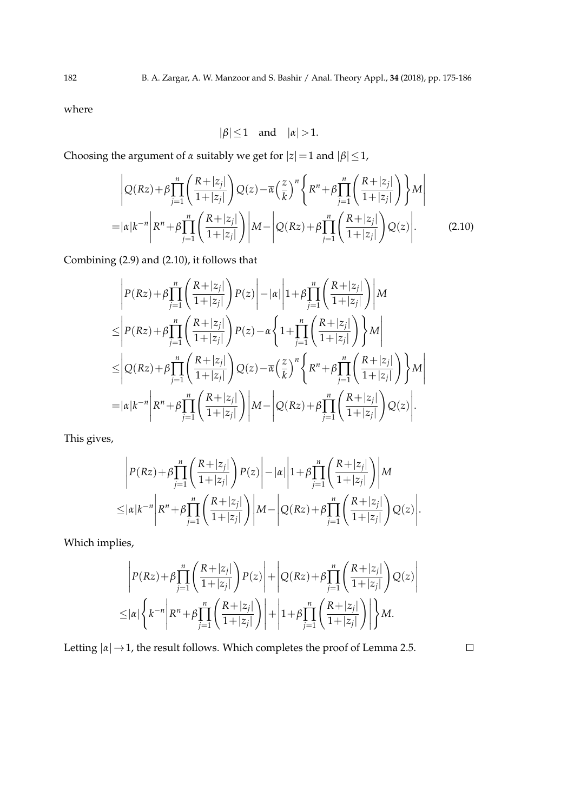where

$$
|\beta| \le 1 \quad \text{and} \quad |\alpha| > 1.
$$

Choosing the argument of *α* suitably we get for  $|z|=1$  and  $|\beta| \leq 1$ ,

$$
\left| Q(Rz) + \beta \prod_{j=1}^{n} \left( \frac{R + |z_j|}{1 + |z_j|} \right) Q(z) - \overline{\alpha} \left( \frac{z}{k} \right)^n \left\{ R^n + \beta \prod_{j=1}^{n} \left( \frac{R + |z_j|}{1 + |z_j|} \right) \right\} M \right|
$$
  
=  $|\alpha| k^{-n} \left| R^n + \beta \prod_{j=1}^{n} \left( \frac{R + |z_j|}{1 + |z_j|} \right) \right| M - \left| Q(Rz) + \beta \prod_{j=1}^{n} \left( \frac{R + |z_j|}{1 + |z_j|} \right) Q(z) \right|.$  (2.10)

Combining (2.9) and (2.10), it follows that

$$
\begin{split}\n&= \left| P(Rz) + \beta \prod_{j=1}^{n} \left( \frac{R + |z_j|}{1 + |z_j|} \right) P(z) \right| - |\alpha| \left| 1 + \beta \prod_{j=1}^{n} \left( \frac{R + |z_j|}{1 + |z_j|} \right) \right| M \\
& \leq \left| P(Rz) + \beta \prod_{j=1}^{n} \left( \frac{R + |z_j|}{1 + |z_j|} \right) P(z) - \alpha \left\{ 1 + \prod_{j=1}^{n} \left( \frac{R + |z_j|}{1 + |z_j|} \right) \right\} M \right| \\
& \leq \left| Q(Rz) + \beta \prod_{j=1}^{n} \left( \frac{R + |z_j|}{1 + |z_j|} \right) Q(z) - \overline{\alpha} \left( \frac{z}{k} \right)^n \left\{ R^n + \beta \prod_{j=1}^{n} \left( \frac{R + |z_j|}{1 + |z_j|} \right) \right\} M \right| \\
&= |\alpha| k^{-n} \left| R^n + \beta \prod_{j=1}^{n} \left( \frac{R + |z_j|}{1 + |z_j|} \right) \right| M - \left| Q(Rz) + \beta \prod_{j=1}^{n} \left( \frac{R + |z_j|}{1 + |z_j|} \right) Q(z) \right|. \n\end{split}
$$

This gives,

$$
\left| P(Rz) + \beta \prod_{j=1}^n \left( \frac{R+|z_j|}{1+|z_j|} \right) P(z) \right| - |\alpha| \left| 1 + \beta \prod_{j=1}^n \left( \frac{R+|z_j|}{1+|z_j|} \right) \right| M
$$
  

$$
\leq |\alpha| k^{-n} \left| R^n + \beta \prod_{j=1}^n \left( \frac{R+|z_j|}{1+|z_j|} \right) \right| M - \left| Q(Rz) + \beta \prod_{j=1}^n \left( \frac{R+|z_j|}{1+|z_j|} \right) Q(z) \right|.
$$

Which implies,

$$
\left| P(Rz) + \beta \prod_{j=1}^{n} \left( \frac{R + |z_j|}{1 + |z_j|} \right) P(z) \right| + \left| Q(Rz) + \beta \prod_{j=1}^{n} \left( \frac{R + |z_j|}{1 + |z_j|} \right) Q(z) \right|
$$
  

$$
\leq |\alpha| \left\{ k^{-n} \left| R^n + \beta \prod_{j=1}^{n} \left( \frac{R + |z_j|}{1 + |z_j|} \right) \right| + \left| 1 + \beta \prod_{j=1}^{n} \left( \frac{R + |z_j|}{1 + |z_j|} \right) \right| \right\} M.
$$

Letting  $|\alpha| \rightarrow 1$ , the result follows. Which completes the proof of Lemma 2.5.

 $\Box$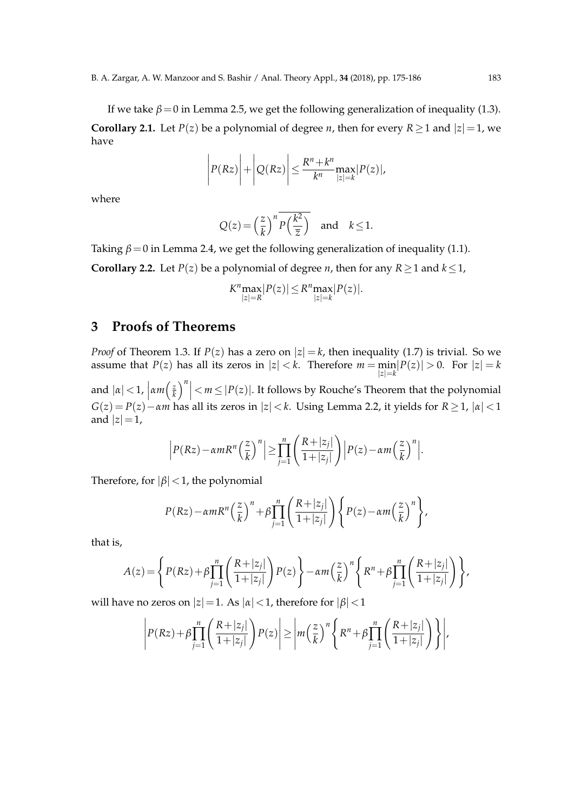If we take  $\beta = 0$  in Lemma 2.5, we get the following generalization of inequality (1.3). **Corollary 2.1.** Let *P*(*z*) be a polynomial of degree *n*, then for every *R*  $\geq$  1 and  $|z|=1$ , we have

$$
\left| P(Rz) \right| + \left| Q(Rz) \right| \leq \frac{R^n + k^n}{k^n} \max_{|z|=k} |P(z)|,
$$

where

$$
Q(z) = \left(\frac{z}{k}\right)^n \overline{P\left(\frac{k^2}{\overline{z}}\right)} \quad \text{and} \quad k \le 1.
$$

Taking  $\beta = 0$  in Lemma 2.4, we get the following generalization of inequality (1.1).

**Corollary 2.2.** Let *P*(*z*) be a polynomial of degree *n*, then for any *R*  $\geq$  1 and *k*  $\leq$  1,

$$
K^n \underset{|z|=R}{\max} |P(z)| \leq R^n \underset{|z|=k}{\max} |P(z)|.
$$

## **3 Proofs of Theorems**

*Proof* of Theorem 1.3. If  $P(z)$  has a zero on  $|z| = k$ , then inequality (1.7) is trivial. So we assume that  $P(z)$  has all its zeros in  $|z| < k$ . Therefore  $m = \min_{|z|=k} |P(z)| > 0$ . For  $|z| = k$ and  $|\alpha|$  < 1,  $\left|\alpha m\right|$   $\frac{z}{k}$  $\left| \frac{z}{k} \right|^n \leq m \leq |P(z)|$ . It follows by Rouche's Theorem that the polynomial  $G(z) = P(z) - \alpha m$  has all its zeros in  $|z| < k$ . Using Lemma 2.2, it yields for  $R \ge 1$ ,  $|\alpha| < 1$ and  $|z|=1$ ,

$$
\left|P(Rz)-\alpha mR^{n}\left(\frac{z}{k}\right)^{n}\right|\geq \prod_{j=1}^{n}\left(\frac{R+|z_{j}|}{1+|z_{j}|}\right)\left|P(z)-\alpha m\left(\frac{z}{k}\right)^{n}\right|.
$$

Therefore, for  $|\beta|$  < 1, the polynomial

$$
P(Rz) - \alpha m R^{n} \left(\frac{z}{k}\right)^{n} + \beta \prod_{j=1}^{n} \left(\frac{R + |z_{j}|}{1 + |z_{j}|}\right) \left\{P(z) - \alpha m \left(\frac{z}{k}\right)^{n}\right\},\,
$$

that is,

$$
A(z) = \left\{ P(Rz) + \beta \prod_{j=1}^{n} \left( \frac{R + |z_j|}{1 + |z_j|} \right) P(z) \right\} - \alpha m \left( \frac{z}{k} \right)^n \left\{ R^n + \beta \prod_{j=1}^{n} \left( \frac{R + |z_j|}{1 + |z_j|} \right) \right\},
$$

will have no zeros on  $|z|=1$ . As  $|α|<1$ , therefore for  $|\beta|<1$ 

$$
\left| P(Rz) + \beta \prod_{j=1}^n \left( \frac{R+|z_j|}{1+|z_j|} \right) P(z) \right| \geq \left| m \left( \frac{z}{k} \right)^n \left\{ R^n + \beta \prod_{j=1}^n \left( \frac{R+|z_j|}{1+|z_j|} \right) \right\} \right|,
$$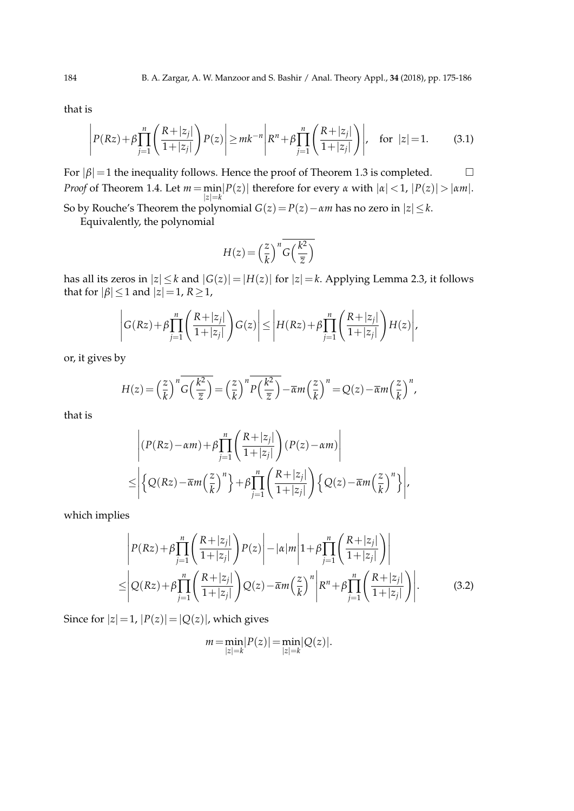that is

$$
\left| P(Rz) + \beta \prod_{j=1}^{n} \left( \frac{R + |z_j|}{1 + |z_j|} \right) P(z) \right| \ge mk^{-n} \left| R^n + \beta \prod_{j=1}^{n} \left( \frac{R + |z_j|}{1 + |z_j|} \right) \right|, \quad \text{for } |z| = 1. \tag{3.1}
$$

For  $|\beta|=1$  the inequality follows. Hence the proof of Theorem 1.3 is completed.  $\Box$ *Proof* of Theorem 1.4. Let  $m = \min_{|z|=k} |P(z)|$  therefore for every *α* with  $|a| < 1$ ,  $|P(z)| > |a m|$ . So by Rouche's Theorem the polynomial  $G(z) = P(z) - \alpha m$  has no zero in  $|z| \le k$ .

Equivalently, the polynomial

$$
H(z) = \left(\frac{z}{k}\right)^n \overline{G\left(\frac{k^2}{\overline{z}}\right)}
$$

has all its zeros in  $|z| \le k$  and  $|G(z)| = |H(z)|$  for  $|z| = k$ . Applying Lemma 2.3, it follows that for  $|\beta| \leq 1$  and  $|z|=1$ ,  $R \geq 1$ ,

$$
\left| G(Rz) + \beta \prod_{j=1}^n \left( \frac{R+|z_j|}{1+|z_j|} \right) G(z) \right| \le \left| H(Rz) + \beta \prod_{j=1}^n \left( \frac{R+|z_j|}{1+|z_j|} \right) H(z) \right|,
$$

or, it gives by

$$
H(z) = \left(\frac{z}{k}\right)^n \overline{G\left(\frac{k^2}{\overline{z}}\right)} = \left(\frac{z}{k}\right)^n \overline{P\left(\frac{k^2}{\overline{z}}\right)} - \overline{\alpha}m\left(\frac{z}{k}\right)^n = Q(z) - \overline{\alpha}m\left(\frac{z}{k}\right)^n,
$$

that is

$$
\left| (P(Rz) - \alpha m) + \beta \prod_{j=1}^{n} \left( \frac{R + |z_j|}{1 + |z_j|} \right) (P(z) - \alpha m) \right|
$$
  

$$
\leq \left| \left\{ Q(Rz) - \overline{\alpha} m \left( \frac{z}{k} \right)^n \right\} + \beta \prod_{j=1}^{n} \left( \frac{R + |z_j|}{1 + |z_j|} \right) \left\{ Q(z) - \overline{\alpha} m \left( \frac{z}{k} \right)^n \right\} \right|,
$$

which implies

$$
\left| P(Rz) + \beta \prod_{j=1}^{n} \left( \frac{R + |z_j|}{1 + |z_j|} \right) P(z) \right| - |\alpha| m \left| 1 + \beta \prod_{j=1}^{n} \left( \frac{R + |z_j|}{1 + |z_j|} \right) \right|
$$
  

$$
\leq \left| Q(Rz) + \beta \prod_{j=1}^{n} \left( \frac{R + |z_j|}{1 + |z_j|} \right) Q(z) - \overline{\alpha} m \left( \frac{z}{k} \right)^n \left| R^n + \beta \prod_{j=1}^{n} \left( \frac{R + |z_j|}{1 + |z_j|} \right) \right|.
$$
 (3.2)

Since for  $|z|=1$ ,  $|P(z)|=|Q(z)|$ , which gives

$$
m = \min_{|z|=k} |P(z)| = \min_{|z|=k} |Q(z)|.
$$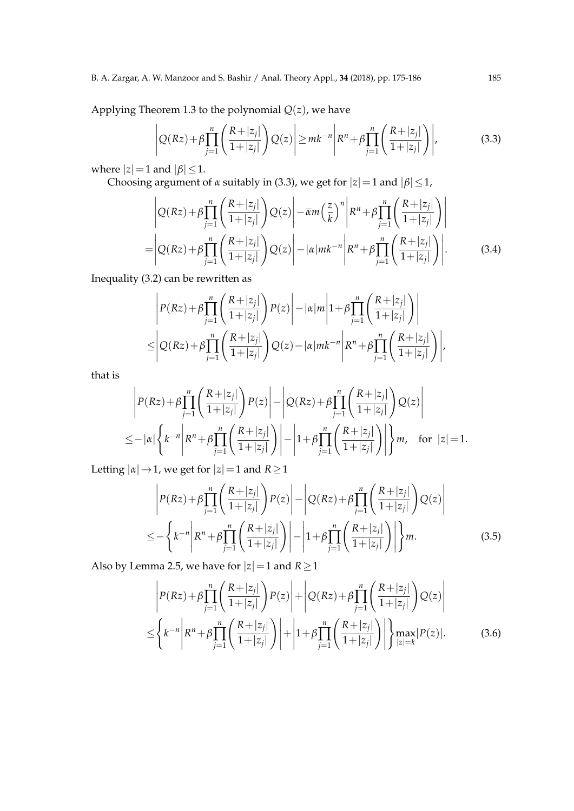#### B. A. Zargar, A. W. Manzoor and S. Bashir / Anal. Theory Appl., **34** (2018), pp. 175-186 185

Applying Theorem 1.3 to the polynomial  $Q(z)$ , we have

$$
\left| Q(Rz) + \beta \prod_{j=1}^{n} \left( \frac{R+|z_j|}{1+|z_j|} \right) Q(z) \right| \ge mk^{-n} \left| R^n + \beta \prod_{j=1}^{n} \left( \frac{R+|z_j|}{1+|z_j|} \right) \right|,
$$
(3.3)

where  $|z|=1$  and  $|\beta| \leq 1$ .

Choosing argument of *α* suitably in (3.3), we get for  $|z|=1$  and  $|\beta| \leq 1$ ,

$$
\left| Q(Rz) + \beta \prod_{j=1}^{n} \left( \frac{R+|z_j|}{1+|z_j|} \right) Q(z) \right| - \overline{\alpha}m \left( \frac{z}{k} \right)^n \left| R^n + \beta \prod_{j=1}^{n} \left( \frac{R+|z_j|}{1+|z_j|} \right) \right|
$$
  
= 
$$
\left| Q(Rz) + \beta \prod_{j=1}^{n} \left( \frac{R+|z_j|}{1+|z_j|} \right) Q(z) \right| - |\alpha| m k^{-n} \left| R^n + \beta \prod_{j=1}^{n} \left( \frac{R+|z_j|}{1+|z_j|} \right) \right|.
$$
 (3.4)

Inequality (3.2) can be rewritten as

$$
\left| P(Rz) + \beta \prod_{j=1}^{n} \left( \frac{R + |z_j|}{1 + |z_j|} \right) P(z) \right| - |\alpha| m \left| 1 + \beta \prod_{j=1}^{n} \left( \frac{R + |z_j|}{1 + |z_j|} \right) \right|
$$
  

$$
\leq \left| Q(Rz) + \beta \prod_{j=1}^{n} \left( \frac{R + |z_j|}{1 + |z_j|} \right) Q(z) - |\alpha| m k^{-n} \left| R^n + \beta \prod_{j=1}^{n} \left( \frac{R + |z_j|}{1 + |z_j|} \right) \right|,
$$

that is

$$
\left| P(Rz) + \beta \prod_{j=1}^{n} \left( \frac{R+|z_j|}{1+|z_j|} \right) P(z) \right| - \left| Q(Rz) + \beta \prod_{j=1}^{n} \left( \frac{R+|z_j|}{1+|z_j|} \right) Q(z) \right|
$$
  

$$
\leq -\left| \alpha \right| \left\{ k^{-n} \left| R^n + \beta \prod_{j=1}^{n} \left( \frac{R+|z_j|}{1+|z_j|} \right) \right| - \left| 1 + \beta \prod_{j=1}^{n} \left( \frac{R+|z_j|}{1+|z_j|} \right) \right| \right\} m, \text{ for } |z| = 1.
$$

Letting  $|\alpha| \rightarrow 1$ , we get for  $|z|=1$  and  $R \ge 1$ 

$$
\left| P(Rz) + \beta \prod_{j=1}^{n} \left( \frac{R+|z_j|}{1+|z_j|} \right) P(z) \right| - \left| Q(Rz) + \beta \prod_{j=1}^{n} \left( \frac{R+|z_j|}{1+|z_j|} \right) Q(z) \right|
$$
  

$$
\leq - \left\{ k^{-n} \left| R^n + \beta \prod_{j=1}^{n} \left( \frac{R+|z_j|}{1+|z_j|} \right) \right| - \left| 1 + \beta \prod_{j=1}^{n} \left( \frac{R+|z_j|}{1+|z_j|} \right) \right| \right\} m.
$$
 (3.5)

Also by Lemma 2.5, we have for  $|z|=1$  and  $R\geq 1$ 

$$
\left| P(Rz) + \beta \prod_{j=1}^{n} \left( \frac{R + |z_j|}{1 + |z_j|} \right) P(z) \right| + \left| Q(Rz) + \beta \prod_{j=1}^{n} \left( \frac{R + |z_j|}{1 + |z_j|} \right) Q(z) \right|
$$
  

$$
\leq \left\{ k^{-n} \left| R^n + \beta \prod_{j=1}^{n} \left( \frac{R + |z_j|}{1 + |z_j|} \right) \right| + \left| 1 + \beta \prod_{j=1}^{n} \left( \frac{R + |z_j|}{1 + |z_j|} \right) \right| \right\} \max_{|z| = k} |P(z)|.
$$
 (3.6)